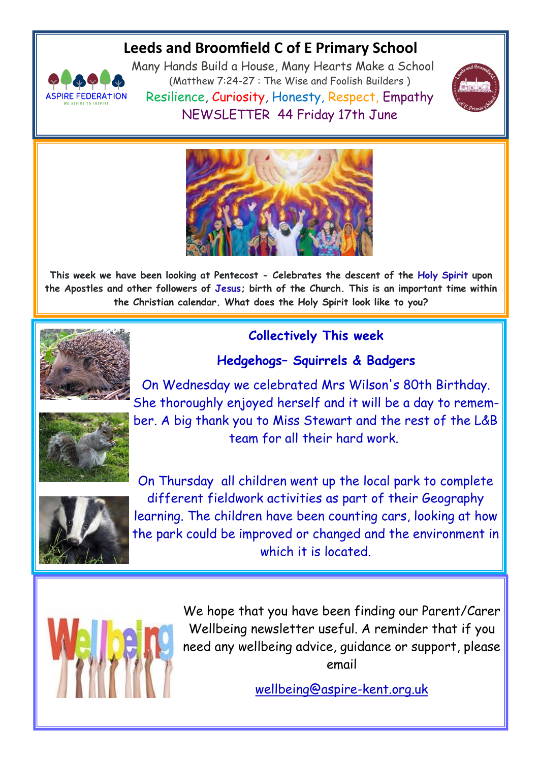# **Leeds and Broomfield C of E Primary School**



Many Hands Build a House, Many Hearts Make a School (Matthew 7:24-27 : The Wise and Foolish Builders ) Resilience, Curiosity, Honesty, Respect, Empathy NEWSLETTER 44 Friday 17th June





**This week we have been looking at Pentecost - Celebrates the descent of the [Holy Spirit](https://www.google.com/search?safe=active&rlz=1CAYPBE_enGB946&q=Holy+Spirit&stick=H4sIAAAAAAAAAONgVuLQz9U3MC4sTl7Eyu2Rn1OpEFyQWZRZAgDomCozGgAAAA&sa=X&ved=2ahUKEwiHn7_7qrH4AhVuSEEAHekZBrQQmxMoAHoFCIQBEAI&cshid=1655360818508173) upon the Apostles and other followers of [Jesus;](https://www.google.com/search?safe=active&rlz=1CAYPBE_enGB946&q=Jesus&stick=H4sIAAAAAAAAAONgVuLUz9U3MDHNNYxfxMrqlVpcWgwASobYDRUAAAA&sa=X&ved=2ahUKEwiHn7_7qrH4AhVuSEEAHekZBrQQmxMoAXoFCIQBEAM&cshid=1655360818508173) birth of the Church. This is an important time within the Christian calendar. What does the Holy Spirit look like to you?**



## **Collectively This week**

### **Hedgehogs– Squirrels & Badgers**

On Wednesday we celebrated Mrs Wilson's 80th Birthday. She thoroughly enjoyed herself and it will be a day to remember. A big thank you to Miss Stewart and the rest of the L&B team for all their hard work.



On Thursday all children went up the local park to complete different fieldwork activities as part of their Geography learning. The children have been counting cars, looking at how the park could be improved or changed and the environment in which it is located.



We hope that you have been finding our Parent/Carer Wellbeing newsletter useful. A reminder that if you need any wellbeing advice, guidance or support, please email

wellbeing@aspire-kent.org.uk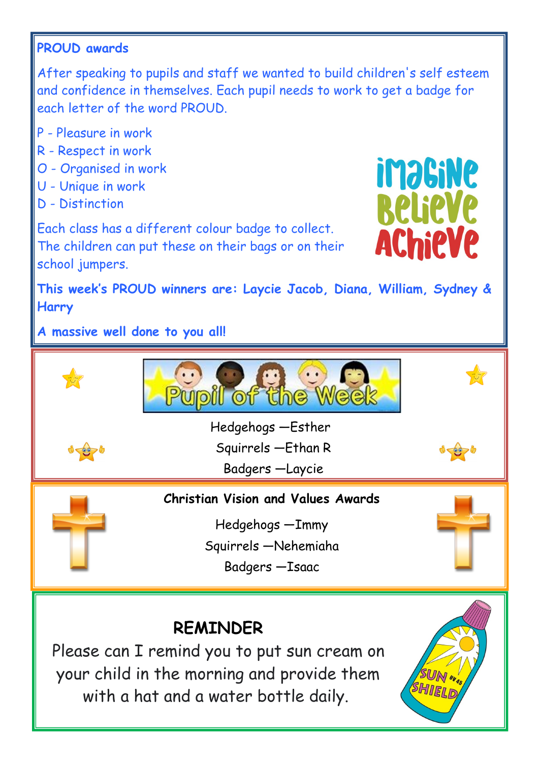## **PROUD awards**

After speaking to pupils and staff we wanted to build children's self esteem and confidence in themselves. Each pupil needs to work to get a badge for each letter of the word PROUD.

- P Pleasure in work
- R Respect in work
- O Organised in work
- U Unique in work
- D Distinction

Each class has a different colour badge to collect. The children can put these on their bags or on their school jumpers.



**This week's PROUD winners are: Laycie Jacob, Diana, William, Sydney & Harry**

**A massive well done to you all!**

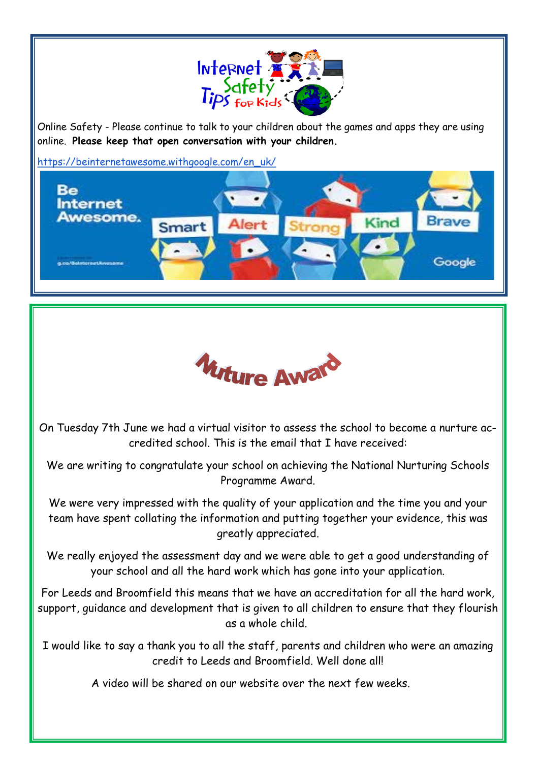

Online Safety - Please continue to talk to your children about the games and apps they are using online. **Please keep that open conversation with your children.**

[https://beinternetawesome.withgoogle.com/en\\_uk/](https://beinternetawesome.withgoogle.com/en_uk/)





On Tuesday 7th June we had a virtual visitor to assess the school to become a nurture accredited school. This is the email that I have received:

We are writing to congratulate your school on achieving the National Nurturing Schools Programme Award.

We were very impressed with the quality of your application and the time you and your team have spent collating the information and putting together your evidence, this was greatly appreciated.

We really enjoyed the assessment day and we were able to get a good understanding of your school and all the hard work which has gone into your application.

For Leeds and Broomfield this means that we have an accreditation for all the hard work, support, guidance and development that is given to all children to ensure that they flourish as a whole child.

I would like to say a thank you to all the staff, parents and children who were an amazing credit to Leeds and Broomfield. Well done all!

A video will be shared on our website over the next few weeks.